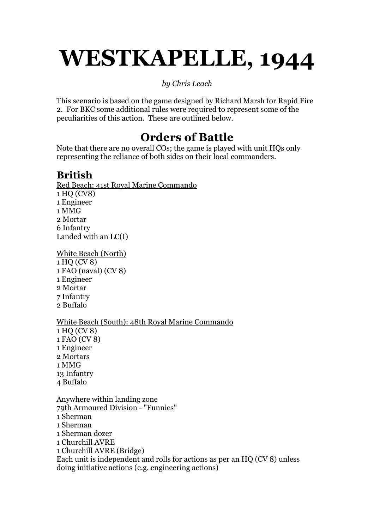# WESTKAPELLE, 1944

#### by Chris Leach

This scenario is based on the game designed by Richard Marsh for Rapid Fire 2. For BKC some additional rules were required to represent some of the peculiarities of this action. These are outlined below.

# Orders of Battle

Note that there are no overall COs; the game is played with unit HQs only representing the reliance of both sides on their local commanders.

## British

Red Beach: 41st Royal Marine Commando 1 HQ (CV8) 1 Engineer 1 MMG 2 Mortar 6 Infantry Landed with an LC(I)

White Beach (North) 1 HQ (CV 8) 1 FAO (naval) (CV 8) 1 Engineer 2 Mortar 7 Infantry 2 Buffalo

#### White Beach (South): 48th Royal Marine Commando

1 HQ (CV 8) 1 FAO (CV 8) 1 Engineer 2 Mortars 1 MMG 13 Infantry 4 Buffalo

Anywhere within landing zone 79th Armoured Division - "Funnies" 1 Sherman 1 Sherman 1 Sherman dozer 1 Churchill AVRE 1 Churchill AVRE (Bridge) Each unit is independent and rolls for actions as per an HQ (CV 8) unless doing initiative actions (e.g. engineering actions)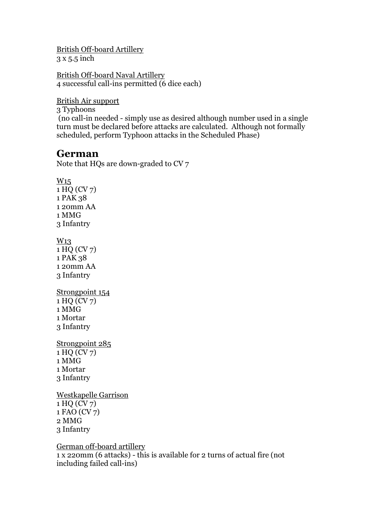British Off-board Artillery 3 x 5.5 inch

British Off-board Naval Artillery 4 successful call-ins permitted (6 dice each)

British Air support

3 Typhoons

 (no call-in needed - simply use as desired although number used in a single turn must be declared before attacks are calculated. Although not formally scheduled, perform Typhoon attacks in the Scheduled Phase)

### German

Note that HQs are down-graded to CV 7

W15 1 HQ (CV 7) 1 PAK 38 1 20mm AA 1 MMG 3 Infantry W<sub>13</sub> 1 HQ (CV 7) 1 PAK 38 1 20mm AA 3 Infantry Strongpoint 154 1 HQ (CV 7) 1 MMG 1 Mortar 3 Infantry Strongpoint 285 1 HQ (CV 7) 1 MMG 1 Mortar 3 Infantry Westkapelle Garrison 1 HQ (CV 7)

1 FAO (CV 7) 2 MMG 3 Infantry

German off-board artillery

1 x 220mm (6 attacks) - this is available for 2 turns of actual fire (not including failed call-ins)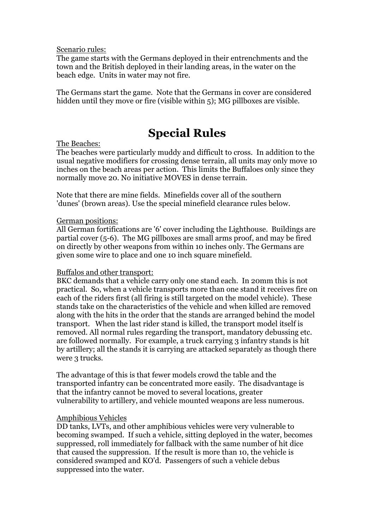Scenario rules:

The game starts with the Germans deployed in their entrenchments and the town and the British deployed in their landing areas, in the water on the beach edge. Units in water may not fire.

The Germans start the game. Note that the Germans in cover are considered hidden until they move or fire (visible within 5); MG pillboxes are visible.

## Special Rules

#### The Beaches:

The beaches were particularly muddy and difficult to cross. In addition to the usual negative modifiers for crossing dense terrain, all units may only move 10 inches on the beach areas per action. This limits the Buffaloes only since they normally move 20. No initiative MOVES in dense terrain.

Note that there are mine fields. Minefields cover all of the southern 'dunes' (brown areas). Use the special minefield clearance rules below.

#### German positions:

All German fortifications are '6' cover including the Lighthouse. Buildings are partial cover (5-6). The MG pillboxes are small arms proof, and may be fired on directly by other weapons from within 10 inches only. The Germans are given some wire to place and one 10 inch square minefield.

#### Buffalos and other transport:

BKC demands that a vehicle carry only one stand each. In 20mm this is not practical. So, when a vehicle transports more than one stand it receives fire on each of the riders first (all firing is still targeted on the model vehicle). These stands take on the characteristics of the vehicle and when killed are removed along with the hits in the order that the stands are arranged behind the model transport. When the last rider stand is killed, the transport model itself is removed. All normal rules regarding the transport, mandatory debussing etc. are followed normally. For example, a truck carrying 3 infantry stands is hit by artillery; all the stands it is carrying are attacked separately as though there were 3 trucks.

The advantage of this is that fewer models crowd the table and the transported infantry can be concentrated more easily. The disadvantage is that the infantry cannot be moved to several locations, greater vulnerability to artillery, and vehicle mounted weapons are less numerous.

#### Amphibious Vehicles

DD tanks, LVTs, and other amphibious vehicles were very vulnerable to becoming swamped. If such a vehicle, sitting deployed in the water, becomes suppressed, roll immediately for fallback with the same number of hit dice that caused the suppression. If the result is more than 10, the vehicle is considered swamped and KO'd. Passengers of such a vehicle debus suppressed into the water.